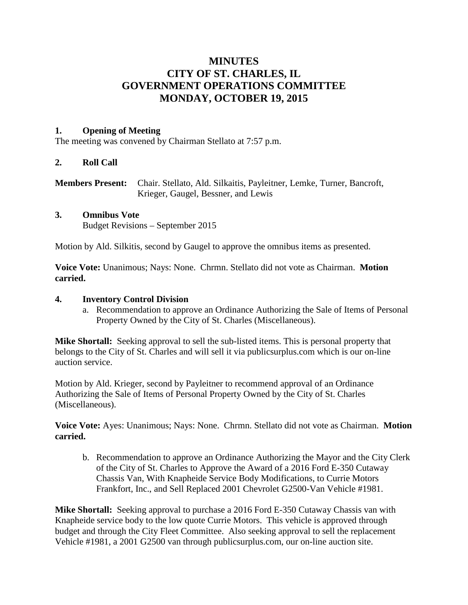# **MINUTES CITY OF ST. CHARLES, IL GOVERNMENT OPERATIONS COMMITTEE MONDAY, OCTOBER 19, 2015**

## **1. Opening of Meeting**

The meeting was convened by Chairman Stellato at 7:57 p.m.

## **2. Roll Call**

**Members Present:** Chair. Stellato, Ald. Silkaitis, Payleitner, Lemke, Turner, Bancroft, Krieger, Gaugel, Bessner, and Lewis

#### **3. Omnibus Vote**

Budget Revisions – September 2015

Motion by Ald. Silkitis, second by Gaugel to approve the omnibus items as presented.

**Voice Vote:** Unanimous; Nays: None. Chrmn. Stellato did not vote as Chairman. **Motion carried.**

## **4. Inventory Control Division**

a. Recommendation to approve an Ordinance Authorizing the Sale of Items of Personal Property Owned by the City of St. Charles (Miscellaneous).

**Mike Shortall:** Seeking approval to sell the sub-listed items. This is personal property that belongs to the City of St. Charles and will sell it via publicsurplus.com which is our on-line auction service.

Motion by Ald. Krieger, second by Payleitner to recommend approval of an Ordinance Authorizing the Sale of Items of Personal Property Owned by the City of St. Charles (Miscellaneous).

**Voice Vote:** Ayes: Unanimous; Nays: None. Chrmn. Stellato did not vote as Chairman. **Motion carried.**

b. Recommendation to approve an Ordinance Authorizing the Mayor and the City Clerk of the City of St. Charles to Approve the Award of a 2016 Ford E-350 Cutaway Chassis Van, With Knapheide Service Body Modifications, to Currie Motors Frankfort, Inc., and Sell Replaced 2001 Chevrolet G2500-Van Vehicle #1981.

**Mike Shortall:** Seeking approval to purchase a 2016 Ford E-350 Cutaway Chassis van with Knapheide service body to the low quote Currie Motors. This vehicle is approved through budget and through the City Fleet Committee. Also seeking approval to sell the replacement Vehicle #1981, a 2001 G2500 van through publicsurplus.com, our on-line auction site.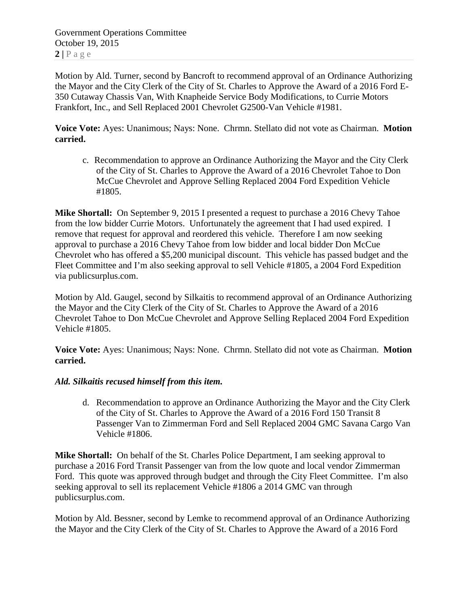Government Operations Committee October 19, 2015  $2 | P \text{ a } g \text{ e}$ 

Motion by Ald. Turner, second by Bancroft to recommend approval of an Ordinance Authorizing the Mayor and the City Clerk of the City of St. Charles to Approve the Award of a 2016 Ford E-350 Cutaway Chassis Van, With Knapheide Service Body Modifications, to Currie Motors Frankfort, Inc., and Sell Replaced 2001 Chevrolet G2500-Van Vehicle #1981.

**Voice Vote:** Ayes: Unanimous; Nays: None. Chrmn. Stellato did not vote as Chairman. **Motion carried.**

c. Recommendation to approve an Ordinance Authorizing the Mayor and the City Clerk of the City of St. Charles to Approve the Award of a 2016 Chevrolet Tahoe to Don McCue Chevrolet and Approve Selling Replaced 2004 Ford Expedition Vehicle #1805.

**Mike Shortall:** On September 9, 2015 I presented a request to purchase a 2016 Chevy Tahoe from the low bidder Currie Motors. Unfortunately the agreement that I had used expired. I remove that request for approval and reordered this vehicle. Therefore I am now seeking approval to purchase a 2016 Chevy Tahoe from low bidder and local bidder Don McCue Chevrolet who has offered a \$5,200 municipal discount. This vehicle has passed budget and the Fleet Committee and I'm also seeking approval to sell Vehicle #1805, a 2004 Ford Expedition via publicsurplus.com.

Motion by Ald. Gaugel, second by Silkaitis to recommend approval of an Ordinance Authorizing the Mayor and the City Clerk of the City of St. Charles to Approve the Award of a 2016 Chevrolet Tahoe to Don McCue Chevrolet and Approve Selling Replaced 2004 Ford Expedition Vehicle #1805.

**Voice Vote:** Ayes: Unanimous; Nays: None. Chrmn. Stellato did not vote as Chairman. **Motion carried.**

## *Ald. Silkaitis recused himself from this item.*

d. Recommendation to approve an Ordinance Authorizing the Mayor and the City Clerk of the City of St. Charles to Approve the Award of a 2016 Ford 150 Transit 8 Passenger Van to Zimmerman Ford and Sell Replaced 2004 GMC Savana Cargo Van Vehicle #1806.

**Mike Shortall:** On behalf of the St. Charles Police Department, I am seeking approval to purchase a 2016 Ford Transit Passenger van from the low quote and local vendor Zimmerman Ford. This quote was approved through budget and through the City Fleet Committee. I'm also seeking approval to sell its replacement Vehicle #1806 a 2014 GMC van through publicsurplus.com.

Motion by Ald. Bessner, second by Lemke to recommend approval of an Ordinance Authorizing the Mayor and the City Clerk of the City of St. Charles to Approve the Award of a 2016 Ford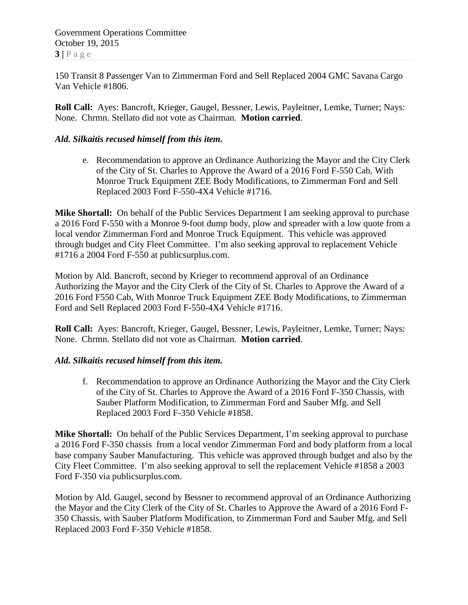Government Operations Committee October 19, 2015  $3 | P \text{ a ge}$ 

150 Transit 8 Passenger Van to Zimmerman Ford and Sell Replaced 2004 GMC Savana Cargo Van Vehicle #1806.

**Roll Call:** Ayes: Bancroft, Krieger, Gaugel, Bessner, Lewis, Payleitner, Lemke, Turner; Nays: None. Chrmn. Stellato did not vote as Chairman. **Motion carried**.

## *Ald. Silkaitis recused himself from this item.*

e. Recommendation to approve an Ordinance Authorizing the Mayor and the City Clerk of the City of St. Charles to Approve the Award of a 2016 Ford F-550 Cab, With Monroe Truck Equipment ZEE Body Modifications, to Zimmerman Ford and Sell Replaced 2003 Ford F-550-4X4 Vehicle #1716.

**Mike Shortall:** On behalf of the Public Services Department I am seeking approval to purchase a 2016 Ford F-550 with a Monroe 9-foot dump body, plow and spreader with a low quote from a local vendor Zimmerman Ford and Monroe Truck Equipment. This vehicle was approved through budget and City Fleet Committee. I'm also seeking approval to replacement Vehicle #1716 a 2004 Ford F-550 at publicsurplus.com.

Motion by Ald. Bancroft, second by Krieger to recommend approval of an Ordinance Authorizing the Mayor and the City Clerk of the City of St. Charles to Approve the Award of a 2016 Ford F550 Cab, With Monroe Truck Equipment ZEE Body Modifications, to Zimmerman Ford and Sell Replaced 2003 Ford F-550-4X4 Vehicle #1716.

**Roll Call:** Ayes: Bancroft, Krieger, Gaugel, Bessner, Lewis, Payleitner, Lemke, Turner; Nays: None. Chrmn. Stellato did not vote as Chairman. **Motion carried**.

#### *Ald. Silkaitis recused himself from this item.*

f. Recommendation to approve an Ordinance Authorizing the Mayor and the City Clerk of the City of St. Charles to Approve the Award of a 2016 Ford F-350 Chassis, with Sauber Platform Modification, to Zimmerman Ford and Sauber Mfg. and Sell Replaced 2003 Ford F-350 Vehicle #1858.

**Mike Shortall:** On behalf of the Public Services Department, I'm seeking approval to purchase a 2016 Ford F-350 chassis from a local vendor Zimmerman Ford and body platform from a local base company Sauber Manufacturing. This vehicle was approved through budget and also by the City Fleet Committee. I'm also seeking approval to sell the replacement Vehicle #1858 a 2003 Ford F-350 via publicsurplus.com.

Motion by Ald. Gaugel, second by Bessner to recommend approval of an Ordinance Authorizing the Mayor and the City Clerk of the City of St. Charles to Approve the Award of a 2016 Ford F-350 Chassis, with Sauber Platform Modification, to Zimmerman Ford and Sauber Mfg. and Sell Replaced 2003 Ford F-350 Vehicle #1858.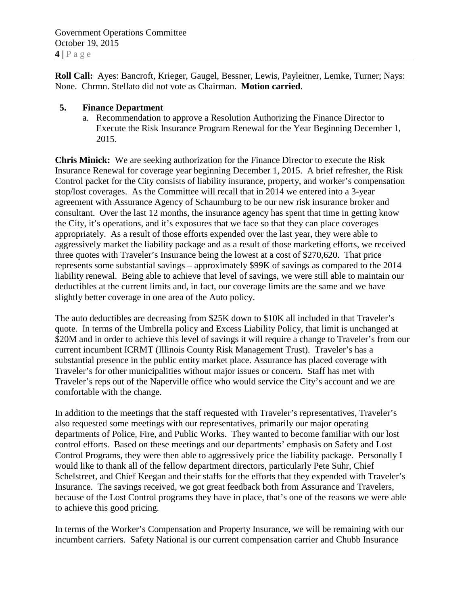Government Operations Committee October 19, 2015 **4 |** Page

**Roll Call:** Ayes: Bancroft, Krieger, Gaugel, Bessner, Lewis, Payleitner, Lemke, Turner; Nays: None. Chrmn. Stellato did not vote as Chairman. **Motion carried**.

### **5. Finance Department**

a. Recommendation to approve a Resolution Authorizing the Finance Director to Execute the Risk Insurance Program Renewal for the Year Beginning December 1, 2015.

**Chris Minick:** We are seeking authorization for the Finance Director to execute the Risk Insurance Renewal for coverage year beginning December 1, 2015. A brief refresher, the Risk Control packet for the City consists of liability insurance, property, and worker's compensation stop/lost coverages. As the Committee will recall that in 2014 we entered into a 3-year agreement with Assurance Agency of Schaumburg to be our new risk insurance broker and consultant. Over the last 12 months, the insurance agency has spent that time in getting know the City, it's operations, and it's exposures that we face so that they can place coverages appropriately. As a result of those efforts expended over the last year, they were able to aggressively market the liability package and as a result of those marketing efforts, we received three quotes with Traveler's Insurance being the lowest at a cost of \$270,620. That price represents some substantial savings – approximately \$99K of savings as compared to the 2014 liability renewal. Being able to achieve that level of savings, we were still able to maintain our deductibles at the current limits and, in fact, our coverage limits are the same and we have slightly better coverage in one area of the Auto policy.

The auto deductibles are decreasing from \$25K down to \$10K all included in that Traveler's quote. In terms of the Umbrella policy and Excess Liability Policy, that limit is unchanged at \$20M and in order to achieve this level of savings it will require a change to Traveler's from our current incumbent ICRMT (Illinois County Risk Management Trust). Traveler's has a substantial presence in the public entity market place. Assurance has placed coverage with Traveler's for other municipalities without major issues or concern. Staff has met with Traveler's reps out of the Naperville office who would service the City's account and we are comfortable with the change.

In addition to the meetings that the staff requested with Traveler's representatives, Traveler's also requested some meetings with our representatives, primarily our major operating departments of Police, Fire, and Public Works. They wanted to become familiar with our lost control efforts. Based on these meetings and our departments' emphasis on Safety and Lost Control Programs, they were then able to aggressively price the liability package. Personally I would like to thank all of the fellow department directors, particularly Pete Suhr, Chief Schelstreet, and Chief Keegan and their staffs for the efforts that they expended with Traveler's Insurance. The savings received, we got great feedback both from Assurance and Travelers, because of the Lost Control programs they have in place, that's one of the reasons we were able to achieve this good pricing.

In terms of the Worker's Compensation and Property Insurance, we will be remaining with our incumbent carriers. Safety National is our current compensation carrier and Chubb Insurance